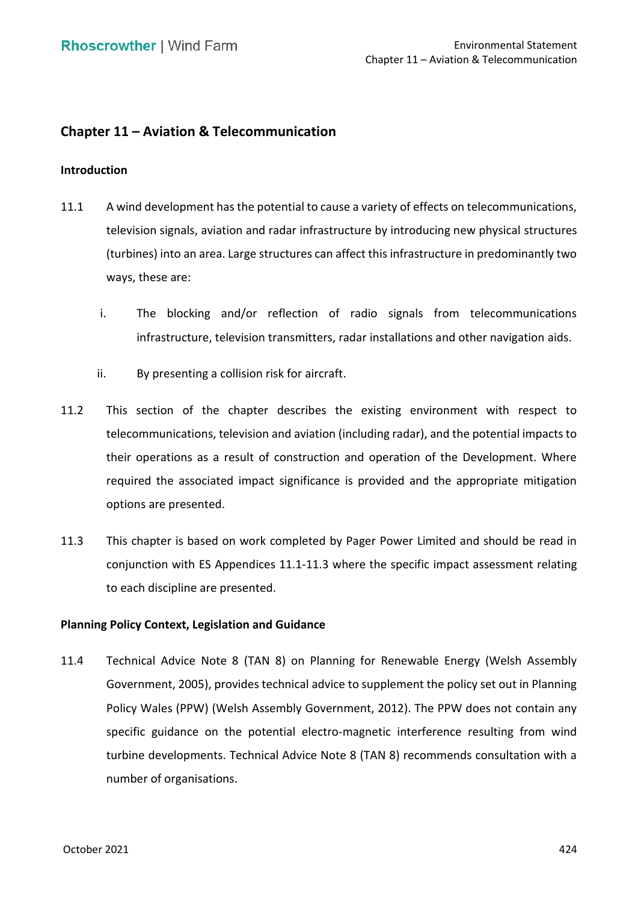# **Chapter 11 – Aviation & Telecommunication**

### **Introduction**

- 11.1 A wind development has the potential to cause a variety of effects on telecommunications, television signals, aviation and radar infrastructure by introducing new physical structures (turbines) into an area. Large structures can affect this infrastructure in predominantly two ways, these are:
	- i. The blocking and/or reflection of radio signals from telecommunications infrastructure, television transmitters, radar installations and other navigation aids.
	- ii. By presenting a collision risk for aircraft.
- 11.2 This section of the chapter describes the existing environment with respect to telecommunications, television and aviation (including radar), and the potential impacts to their operations as a result of construction and operation of the Development. Where required the associated impact significance is provided and the appropriate mitigation options are presented.
- 11.3 This chapter is based on work completed by Pager Power Limited and should be read in conjunction with ES Appendices 11.1-11.3 where the specific impact assessment relating to each discipline are presented.

# **Planning Policy Context, Legislation and Guidance**

 11.4 Technical Advice Note 8 (TAN 8) on Planning for Renewable Energy (Welsh Assembly Government, 2005), provides technical advice to supplement the policy set out in Planning Policy Wales (PPW) (Welsh Assembly Government, 2012). The PPW does not contain any specific guidance on the potential electro-magnetic interference resulting from wind turbine developments. Technical Advice Note 8 (TAN 8) recommends consultation with a number of organisations.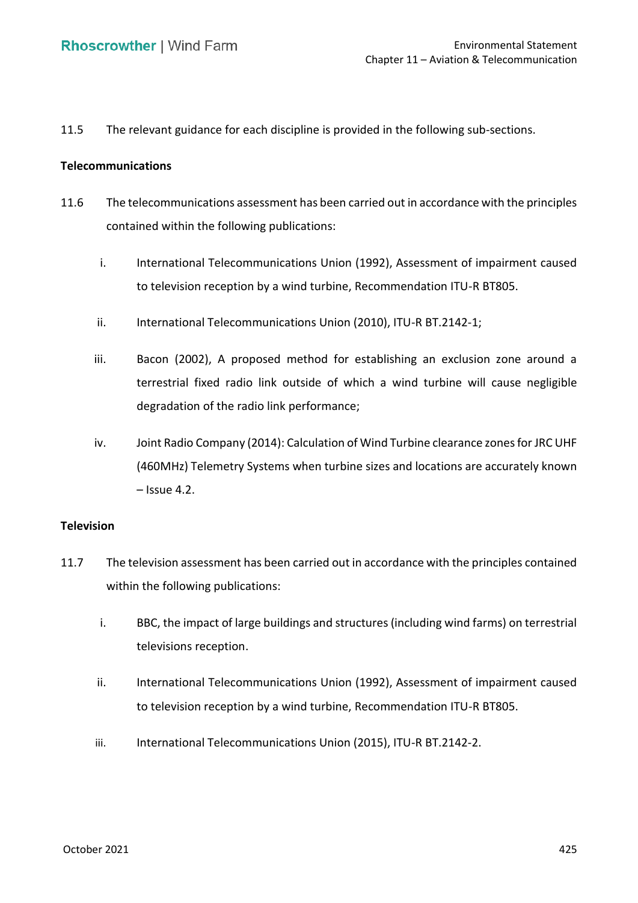11.5 The relevant guidance for each discipline is provided in the following sub-sections.

### **Telecommunications**

- 11.6 The telecommunications assessment has been carried out in accordance with the principles contained within the following publications:
	- i. International Telecommunications Union (1992), Assessment of impairment caused to television reception by a wind turbine, Recommendation ITU-R BT805.
	- ii. International Telecommunications Union (2010), ITU-R BT.2142-1;
	- iii. Bacon (2002), A proposed method for establishing an exclusion zone around a terrestrial fixed radio link outside of which a wind turbine will cause negligible degradation of the radio link performance;
	- iv. Joint Radio Company (2014): Calculation of Wind Turbine clearance zones for JRC UHF (460MHz) Telemetry Systems when turbine sizes and locations are accurately known – Issue 4.2.

### **Television**

- 11.7 The television assessment has been carried out in accordance with the principles contained within the following publications:
	- i. BBC, the impact of large buildings and structures (including wind farms) on terrestrial televisions reception.
	- ii. International Telecommunications Union (1992), Assessment of impairment caused to television reception by a wind turbine, Recommendation ITU-R BT805.
	- iii. International Telecommunications Union (2015), ITU-R BT.2142-2.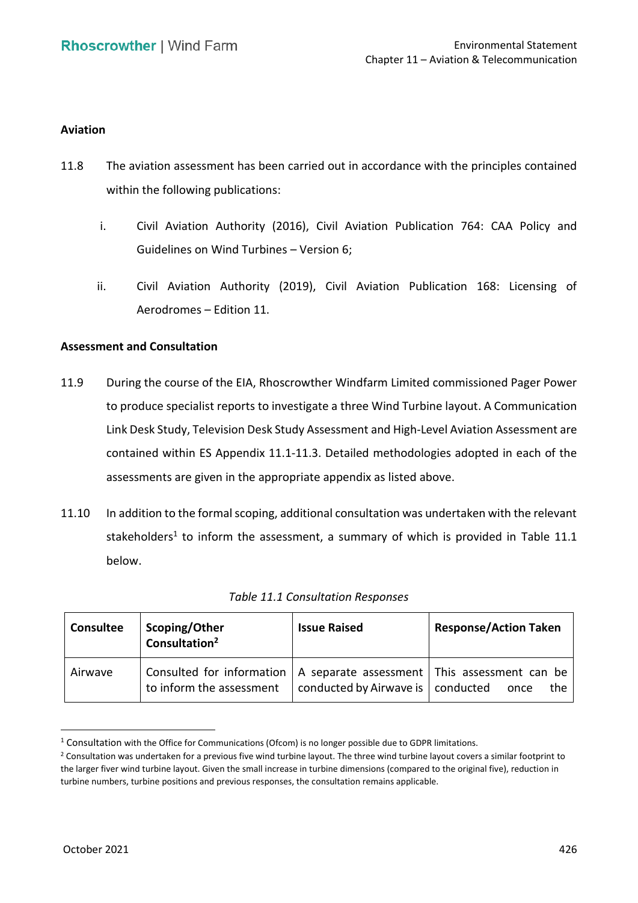### **Aviation**

- 11.8 The aviation assessment has been carried out in accordance with the principles contained within the following publications:
	- i. Civil Aviation Authority (2016), Civil Aviation Publication 764: CAA Policy and Guidelines on Wind Turbines – Version 6;
	- ii. Civil Aviation Authority (2019), Civil Aviation Publication 168: Licensing of Aerodromes – Edition 11.

### **Assessment and Consultation**

- 11.9 During the course of the EIA, Rhoscrowther Windfarm Limited commissioned Pager Power to produce specialist reports to investigate a three Wind Turbine layout. A Communication Link Desk Study, Television Desk Study Assessment and High‐Level Aviation Assessment are contained within ES Appendix 11.1-11.3. Detailed methodologies adopted in each of the assessments are given in the appropriate appendix as listed above.
- 11.10 In addition to the formal scoping, additional consultation was undertaken with the relevant stakeholders<sup>1</sup> to inform the assessment, a summary of which is provided in Table 11.1 below.

| <b>Consultee</b> | Scoping/Other<br>Consultation <sup>2</sup>                                                                         | <b>Issue Raised</b>                 | <b>Response/Action Taken</b> |
|------------------|--------------------------------------------------------------------------------------------------------------------|-------------------------------------|------------------------------|
| Airwave          | Consulted for information $\vert$ A separate assessment $\vert$ This assessment can be<br>to inform the assessment | conducted by Airwave is   conducted | the.<br>once                 |

|  | Table 11.1 Consultation Responses |  |
|--|-----------------------------------|--|
|--|-----------------------------------|--|

<sup>1</sup> Consultation with the Office for Communications (Ofcom) is no longer possible due to GDPR limitations.

<sup>&</sup>lt;sup>2</sup> Consultation was undertaken for a previous five wind turbine layout. The three wind turbine layout covers a similar footprint to the larger fiver wind turbine layout. Given the small increase in turbine dimensions (compared to the original five), reduction in turbine numbers, turbine positions and previous responses, the consultation remains applicable.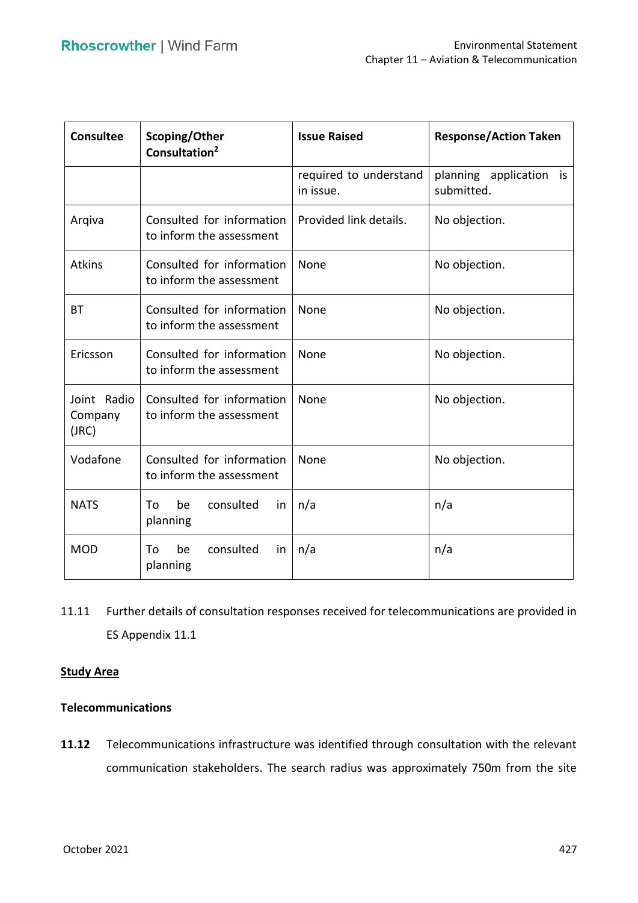| Consultee                       | Scoping/Other<br>Consultation <sup>2</sup>            | <b>Issue Raised</b>                 | <b>Response/Action Taken</b>          |
|---------------------------------|-------------------------------------------------------|-------------------------------------|---------------------------------------|
|                                 |                                                       | required to understand<br>in issue. | planning application is<br>submitted. |
| Arqiva                          | Consulted for information<br>to inform the assessment | Provided link details.              | No objection.                         |
| <b>Atkins</b>                   | Consulted for information<br>to inform the assessment | None                                | No objection.                         |
| <b>BT</b>                       | Consulted for information<br>to inform the assessment | None                                | No objection.                         |
| Ericsson                        | Consulted for information<br>to inform the assessment | None                                | No objection.                         |
| Joint Radio<br>Company<br>(JRC) | Consulted for information<br>to inform the assessment | None                                | No objection.                         |
| Vodafone                        | Consulted for information<br>to inform the assessment | None                                | No objection.                         |
| <b>NATS</b>                     | be<br>consulted<br>To<br>.in<br>planning              | n/a                                 | n/a                                   |
| <b>MOD</b>                      | consulted<br>To<br>be<br>in<br>planning               | n/a                                 | n/a                                   |

 11.11 Further details of consultation responses received for telecommunications are provided in ES Appendix 11.1

# **Study Area**

### **Telecommunications**

 **11.12** Telecommunications infrastructure was identified through consultation with the relevant communication stakeholders. The search radius was approximately 750m from the site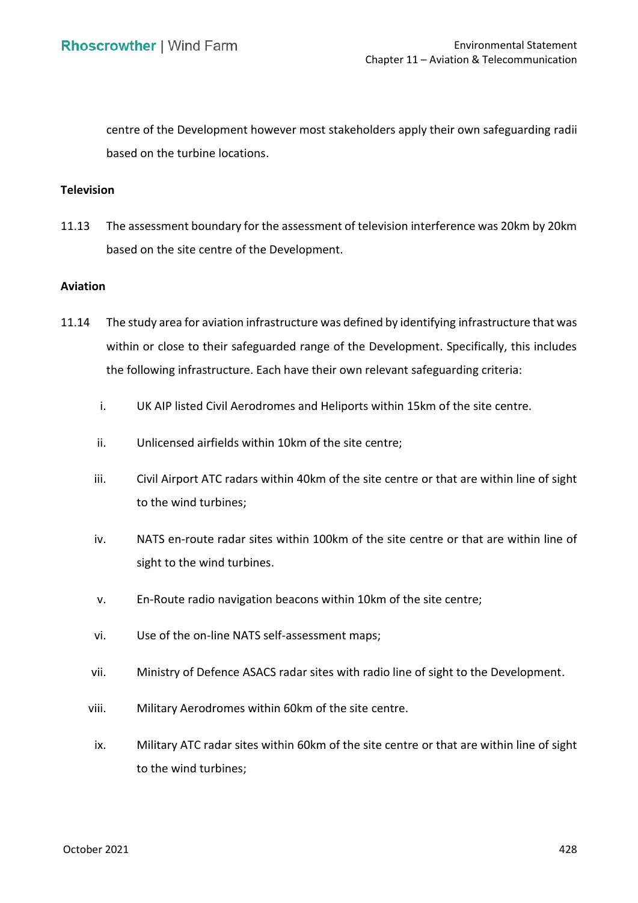centre of the Development however most stakeholders apply their own safeguarding radii based on the turbine locations.

### **Television**

 11.13 The assessment boundary for the assessment of television interference was 20km by 20km based on the site centre of the Development.

### **Aviation**

- 11.14 The study area for aviation infrastructure was defined by identifying infrastructure that was within or close to their safeguarded range of the Development. Specifically, this includes the following infrastructure. Each have their own relevant safeguarding criteria:
	- i. UK AIP listed Civil Aerodromes and Heliports within 15km of the site centre.
	- ii. Unlicensed airfields within 10km of the site centre;
	- iii. Civil Airport ATC radars within 40km of the site centre or that are within line of sight to the wind turbines;
	- iv. NATS en-route radar sites within 100km of the site centre or that are within line of sight to the wind turbines.
	- v. En-Route radio navigation beacons within 10km of the site centre;
	- vi. Use of the on-line NATS self-assessment maps;
	- vii. Ministry of Defence ASACS radar sites with radio line of sight to the Development.
	- viii. Military Aerodromes within 60km of the site centre.
	- ix. Military ATC radar sites within 60km of the site centre or that are within line of sight to the wind turbines;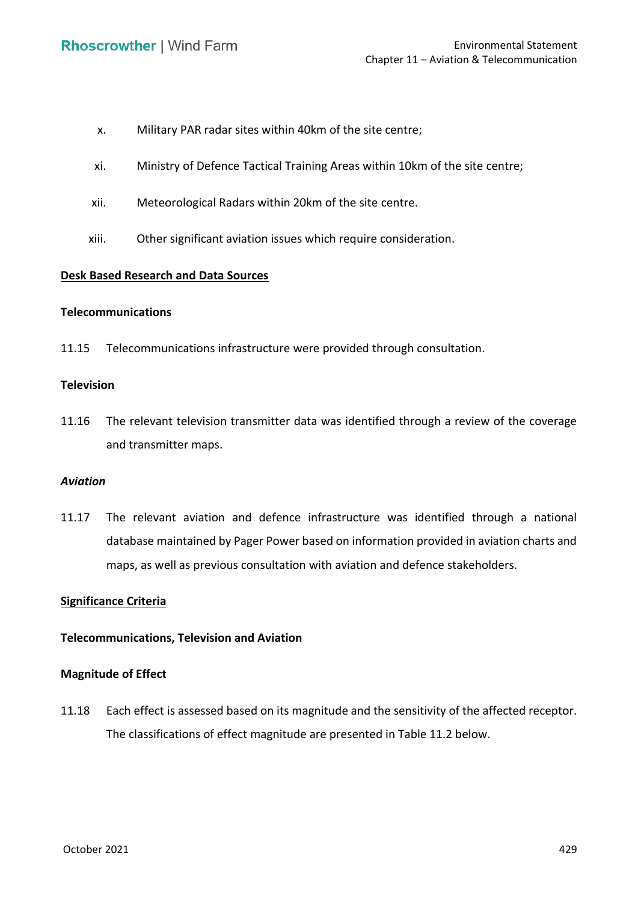- x. Military PAR radar sites within 40km of the site centre;
- xi. Ministry of Defence Tactical Training Areas within 10km of the site centre;
- xii. Meteorological Radars within 20km of the site centre.
- xiii. Other significant aviation issues which require consideration.

# **Desk Based Research and Data Sources**

### **Telecommunications**

11.15 Telecommunications infrastructure were provided through consultation.

### **Television**

 11.16 The relevant television transmitter data was identified through a review of the coverage and transmitter maps.

### *Aviation*

 11.17 The relevant aviation and defence infrastructure was identified through a national database maintained by Pager Power based on information provided in aviation charts and maps, as well as previous consultation with aviation and defence stakeholders.

# **Significance Criteria**

### **Telecommunications, Television and Aviation**

### **Magnitude of Effect**

 11.18 Each effect is assessed based on its magnitude and the sensitivity of the affected receptor. The classifications of effect magnitude are presented in Table 11.2 below.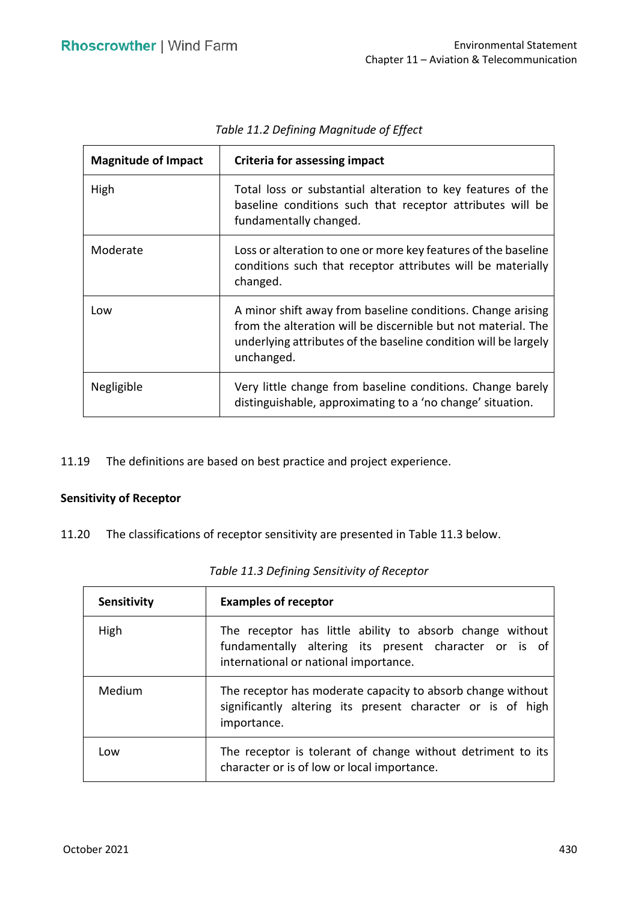| <b>Magnitude of Impact</b> | <b>Criteria for assessing impact</b>                                                                                                                                                                          |
|----------------------------|---------------------------------------------------------------------------------------------------------------------------------------------------------------------------------------------------------------|
| High                       | Total loss or substantial alteration to key features of the<br>baseline conditions such that receptor attributes will be<br>fundamentally changed.                                                            |
| Moderate                   | Loss or alteration to one or more key features of the baseline<br>conditions such that receptor attributes will be materially<br>changed.                                                                     |
| Low                        | A minor shift away from baseline conditions. Change arising<br>from the alteration will be discernible but not material. The<br>underlying attributes of the baseline condition will be largely<br>unchanged. |
| Negligible                 | Very little change from baseline conditions. Change barely<br>distinguishable, approximating to a 'no change' situation.                                                                                      |

*Table 11.2 Defining Magnitude of Effect* 

11.19 The definitions are based on best practice and project experience.

### **Sensitivity of Receptor**

11.20 The classifications of receptor sensitivity are presented in Table 11.3 below.

| Sensitivity | <b>Examples of receptor</b>                                                                                                                                |
|-------------|------------------------------------------------------------------------------------------------------------------------------------------------------------|
| High        | The receptor has little ability to absorb change without<br>fundamentally altering its present character or is of<br>international or national importance. |
| Medium      | The receptor has moderate capacity to absorb change without<br>significantly altering its present character or is of high<br>importance.                   |
| Low         | The receptor is tolerant of change without detriment to its<br>character or is of low or local importance.                                                 |

 *Table 11.3 Defining Sensitivity of Receptor*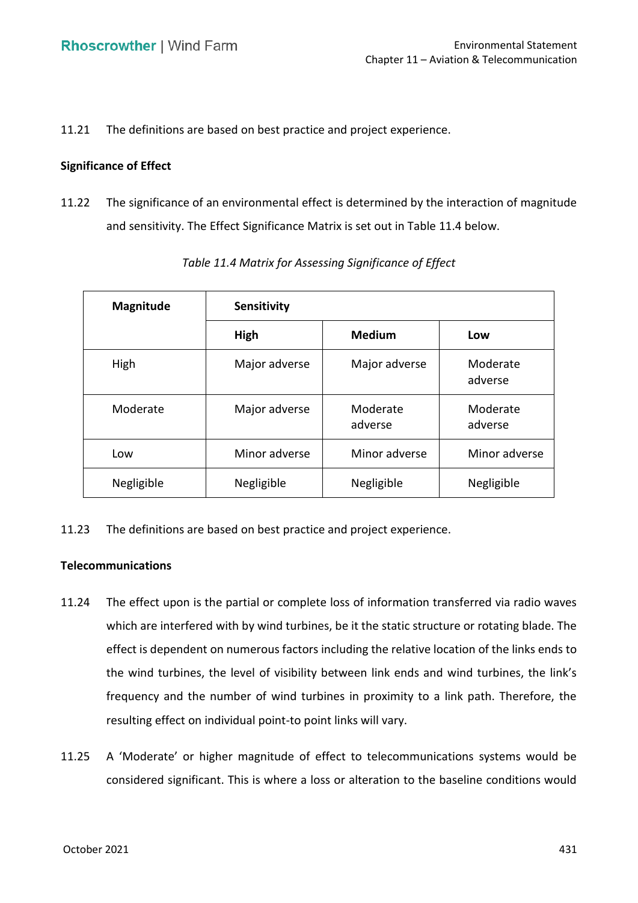11.21 The definitions are based on best practice and project experience.

### **Significance of Effect**

 11.22 The significance of an environmental effect is determined by the interaction of magnitude and sensitivity. The Effect Significance Matrix is set out in Table 11.4 below.

| <b>Magnitude</b> | Sensitivity   |                     |                     |
|------------------|---------------|---------------------|---------------------|
|                  | High          | <b>Medium</b>       | Low                 |
| High             | Major adverse | Major adverse       | Moderate<br>adverse |
| Moderate         | Major adverse | Moderate<br>adverse | Moderate<br>adverse |
| Low              | Minor adverse | Minor adverse       | Minor adverse       |
| Negligible       | Negligible    | Negligible          | Negligible          |

*Table 11.4 Matrix for Assessing Significance of Effect* 

11.23 The definitions are based on best practice and project experience.

### **Telecommunications**

- 11.24 The effect upon is the partial or complete loss of information transferred via radio waves which are interfered with by wind turbines, be it the static structure or rotating blade. The effect is dependent on numerous factors including the relative location of the links ends to the wind turbines, the level of visibility between link ends and wind turbines, the link's frequency and the number of wind turbines in proximity to a link path. Therefore, the resulting effect on individual point-to point links will vary.
- 11.25 A 'Moderate' or higher magnitude of effect to telecommunications systems would be considered significant. This is where a loss or alteration to the baseline conditions would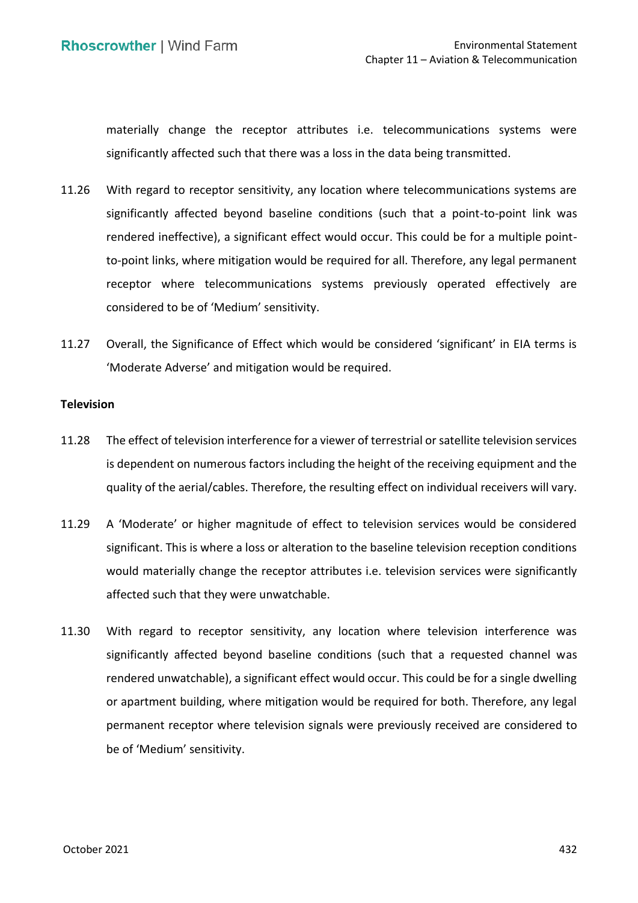significantly affected such that there was a loss in the data being transmitted. materially change the receptor attributes i.e. telecommunications systems were

- 11.26 With regard to receptor sensitivity, any location where telecommunications systems are significantly affected beyond baseline conditions (such that a point-to-point link was rendered ineffective), a significant effect would occur. This could be for a multiple point- to-point links, where mitigation would be required for all. Therefore, any legal permanent receptor where telecommunications systems previously operated effectively are considered to be of 'Medium' sensitivity.
- 11.27 Overall, the Significance of Effect which would be considered 'significant' in EIA terms is 'Moderate Adverse' and mitigation would be required.

#### **Television**

- 11.28 The effect of television interference for a viewer of terrestrial or satellite television services is dependent on numerous factors including the height of the receiving equipment and the quality of the aerial/cables. Therefore, the resulting effect on individual receivers will vary.
- 11.29 A 'Moderate' or higher magnitude of effect to television services would be considered significant. This is where a loss or alteration to the baseline television reception conditions affected such that they were unwatchable. would materially change the receptor attributes i.e. television services were significantly
- 11.30 With regard to receptor sensitivity, any location where television interference was significantly affected beyond baseline conditions (such that a requested channel was rendered unwatchable), a significant effect would occur. This could be for a single dwelling or apartment building, where mitigation would be required for both. Therefore, any legal permanent receptor where television signals were previously received are considered to be of 'Medium' sensitivity.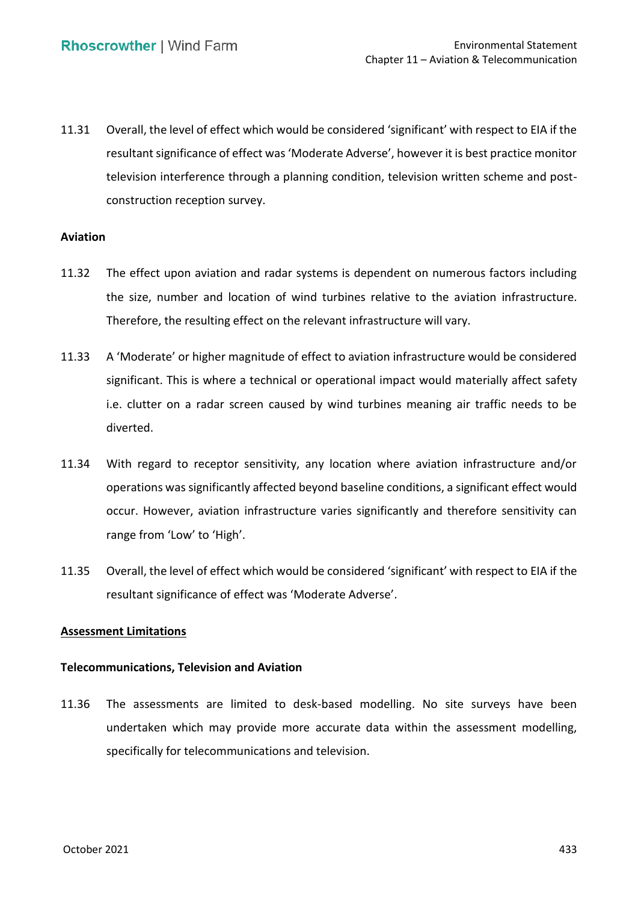11.31 Overall, the level of effect which would be considered 'significant' with respect to EIA if the resultant significance of effect was 'Moderate Adverse', however it is best practice monitor television interference through a planning condition, television written scheme and postconstruction reception survey.

### **Aviation**

- 11.32 The effect upon aviation and radar systems is dependent on numerous factors including the size, number and location of wind turbines relative to the aviation infrastructure. Therefore, the resulting effect on the relevant infrastructure will vary.
- 11.33 A 'Moderate' or higher magnitude of effect to aviation infrastructure would be considered significant. This is where a technical or operational impact would materially affect safety i.e. clutter on a radar screen caused by wind turbines meaning air traffic needs to be diverted.
- 11.34 With regard to receptor sensitivity, any location where aviation infrastructure and/or operations was significantly affected beyond baseline conditions, a significant effect would occur. However, aviation infrastructure varies significantly and therefore sensitivity can range from 'Low' to 'High'.
- 11.35 Overall, the level of effect which would be considered 'significant' with respect to EIA if the resultant significance of effect was 'Moderate Adverse'.

### **Assessment Limitations**

# **Telecommunications, Television and Aviation**

 11.36 The assessments are limited to desk-based modelling. No site surveys have been undertaken which may provide more accurate data within the assessment modelling, specifically for telecommunications and television.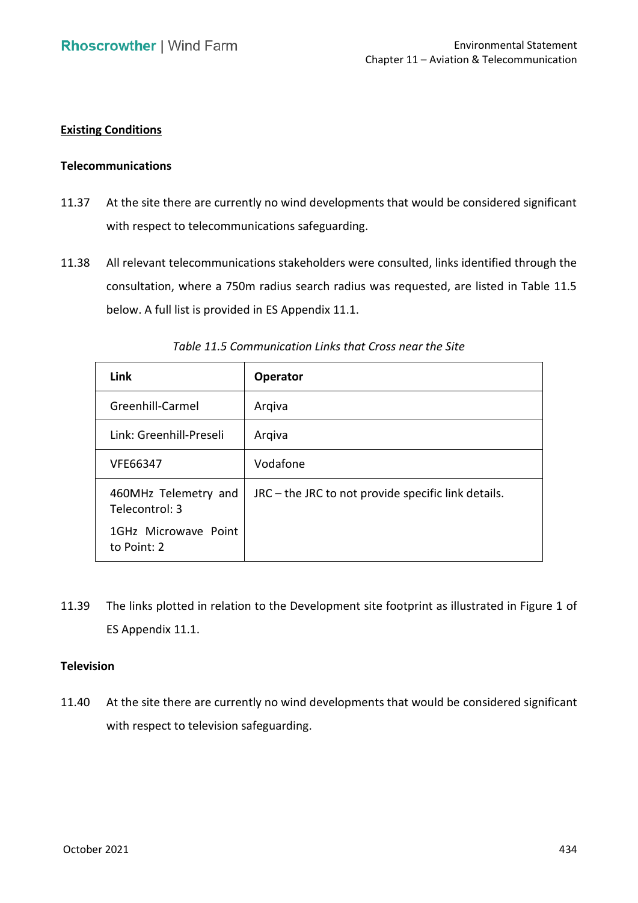# **Existing Conditions**

#### **Telecommunications**

- 11.37 At the site there are currently no wind developments that would be considered significant with respect to telecommunications safeguarding.
- 11.38 All relevant telecommunications stakeholders were consulted, links identified through the consultation, where a 750m radius search radius was requested, are listed in Table 11.5 below. A full list is provided in ES Appendix 11.1.

| Link                                   | <b>Operator</b>                                       |
|----------------------------------------|-------------------------------------------------------|
| Greenhill-Carmel                       | Arqiva                                                |
| Link: Greenhill-Preseli                | Arqiva                                                |
| VFE66347                               | Vodafone                                              |
| 460MHz Telemetry and<br>Telecontrol: 3 | $JRC$ – the JRC to not provide specific link details. |
| 1GHz Microwave Point<br>to Point: 2    |                                                       |

 *Table 11.5 Communication Links that Cross near the Site* 

 11.39 The links plotted in relation to the Development site footprint as illustrated in Figure 1 of ES Appendix 11.1.

### **Television**

 11.40 At the site there are currently no wind developments that would be considered significant with respect to television safeguarding.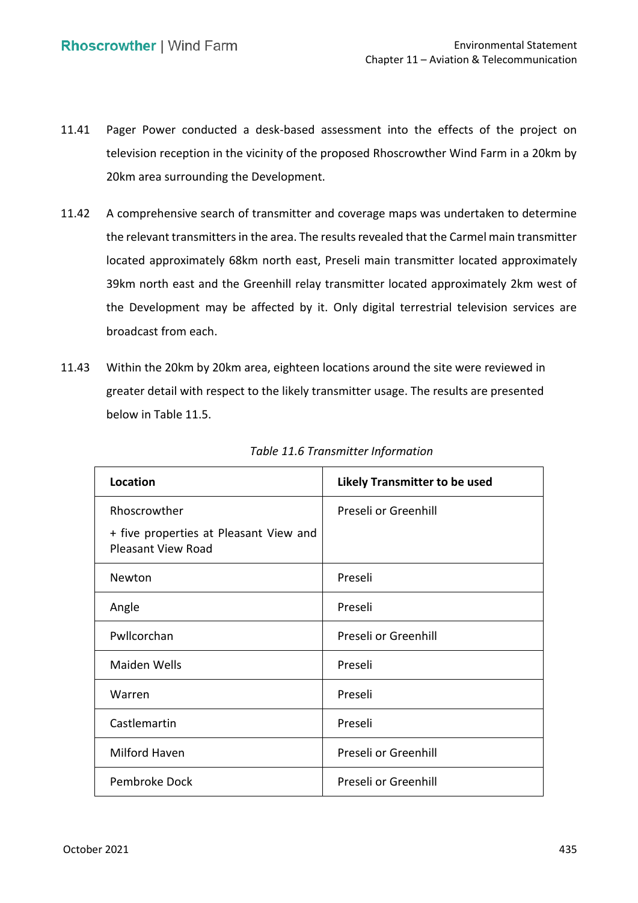- 11.41 Pager Power conducted a desk-based assessment into the effects of the project on television reception in the vicinity of the proposed Rhoscrowther Wind Farm in a 20km by 20km area surrounding the Development.
- 11.42 A comprehensive search of transmitter and coverage maps was undertaken to determine the relevant transmitters in the area. The results revealed that the Carmel main transmitter located approximately 68km north east, Preseli main transmitter located approximately 39km north east and the Greenhill relay transmitter located approximately 2km west of the Development may be affected by it. Only digital terrestrial television services are broadcast from each.
- 11.43 Within the 20km by 20km area, eighteen locations around the site were reviewed in greater detail with respect to the likely transmitter usage. The results are presented below in Table 11.5.

| Location                                                            | <b>Likely Transmitter to be used</b> |
|---------------------------------------------------------------------|--------------------------------------|
| Rhoscrowther                                                        | Preseli or Greenhill                 |
| + five properties at Pleasant View and<br><b>Pleasant View Road</b> |                                      |
| Newton                                                              | Preseli                              |
| Angle                                                               | Preseli                              |
| Pwllcorchan                                                         | Preseli or Greenhill                 |
| <b>Maiden Wells</b>                                                 | Preseli                              |
| Warren                                                              | Preseli                              |
| Castlemartin                                                        | Preseli                              |
| Milford Haven                                                       | Preseli or Greenhill                 |
| Pembroke Dock                                                       | Preseli or Greenhill                 |

### *Table 11.6 Transmitter Information*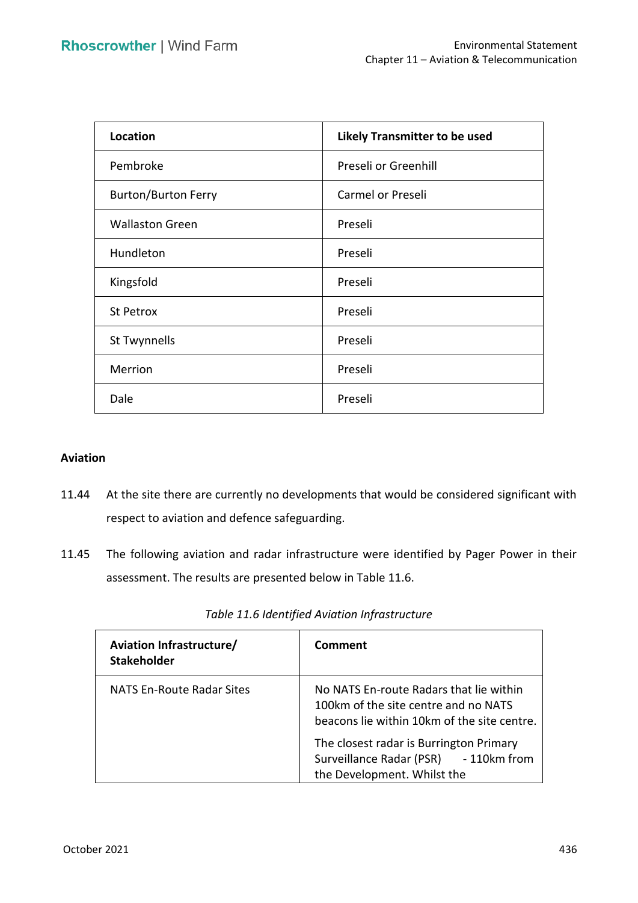| Location                   | <b>Likely Transmitter to be used</b> |
|----------------------------|--------------------------------------|
| Pembroke                   | Preseli or Greenhill                 |
| <b>Burton/Burton Ferry</b> | Carmel or Preseli                    |
| <b>Wallaston Green</b>     | Preseli                              |
| Hundleton                  | Preseli                              |
| Kingsfold                  | Preseli                              |
| St Petrox                  | Preseli                              |
| St Twynnells               | Preseli                              |
| Merrion                    | Preseli                              |
| Dale                       | Preseli                              |

### **Aviation**

- 11.44 At the site there are currently no developments that would be considered significant with respect to aviation and defence safeguarding.
- 11.45 The following aviation and radar infrastructure were identified by Pager Power in their assessment. The results are presented below in Table 11.6.

| <b>Aviation Infrastructure/</b><br><b>Stakeholder</b> | Comment                                                                                                                                                                                                                                           |
|-------------------------------------------------------|---------------------------------------------------------------------------------------------------------------------------------------------------------------------------------------------------------------------------------------------------|
| <b>NATS En-Route Radar Sites</b>                      | No NATS En-route Radars that lie within<br>100km of the site centre and no NATS<br>beacons lie within 10km of the site centre.<br>The closest radar is Burrington Primary<br>Surveillance Radar (PSR) - 110km from<br>the Development. Whilst the |

|  | Table 11.6 Identified Aviation Infrastructure |
|--|-----------------------------------------------|
|--|-----------------------------------------------|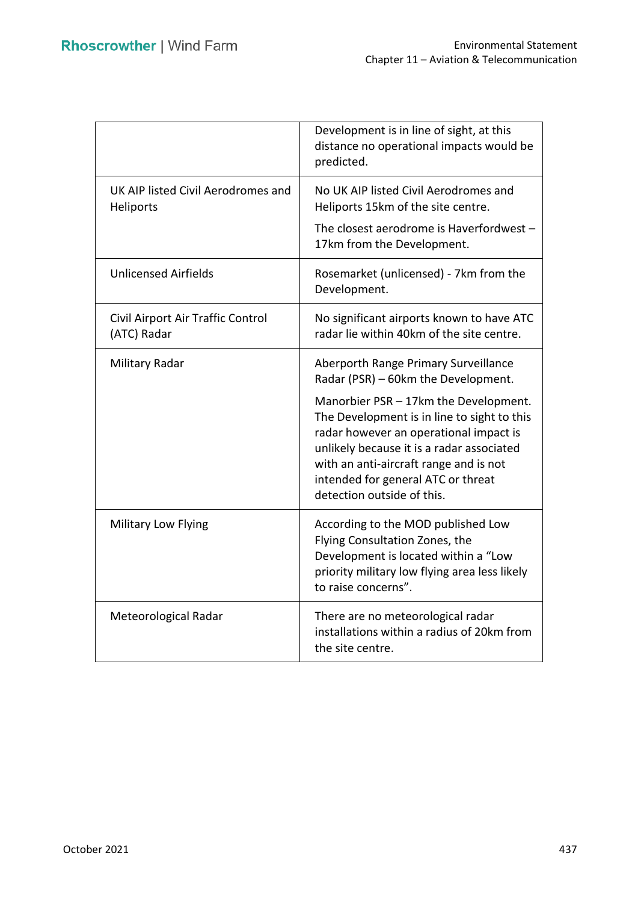|                                                  | Development is in line of sight, at this<br>distance no operational impacts would be<br>predicted.                                                                                                                                                                                        |
|--------------------------------------------------|-------------------------------------------------------------------------------------------------------------------------------------------------------------------------------------------------------------------------------------------------------------------------------------------|
| UK AIP listed Civil Aerodromes and<br>Heliports  | No UK AIP listed Civil Aerodromes and<br>Heliports 15km of the site centre.                                                                                                                                                                                                               |
|                                                  | The closest aerodrome is Haverfordwest -<br>17km from the Development.                                                                                                                                                                                                                    |
| <b>Unlicensed Airfields</b>                      | Rosemarket (unlicensed) - 7km from the<br>Development.                                                                                                                                                                                                                                    |
| Civil Airport Air Traffic Control<br>(ATC) Radar | No significant airports known to have ATC<br>radar lie within 40km of the site centre.                                                                                                                                                                                                    |
| Military Radar                                   | Aberporth Range Primary Surveillance<br>Radar (PSR) - 60km the Development.                                                                                                                                                                                                               |
|                                                  | Manorbier PSR - 17km the Development.<br>The Development is in line to sight to this<br>radar however an operational impact is<br>unlikely because it is a radar associated<br>with an anti-aircraft range and is not<br>intended for general ATC or threat<br>detection outside of this. |
| <b>Military Low Flying</b>                       | According to the MOD published Low<br>Flying Consultation Zones, the<br>Development is located within a "Low<br>priority military low flying area less likely<br>to raise concerns".                                                                                                      |
| Meteorological Radar                             | There are no meteorological radar<br>installations within a radius of 20km from<br>the site centre.                                                                                                                                                                                       |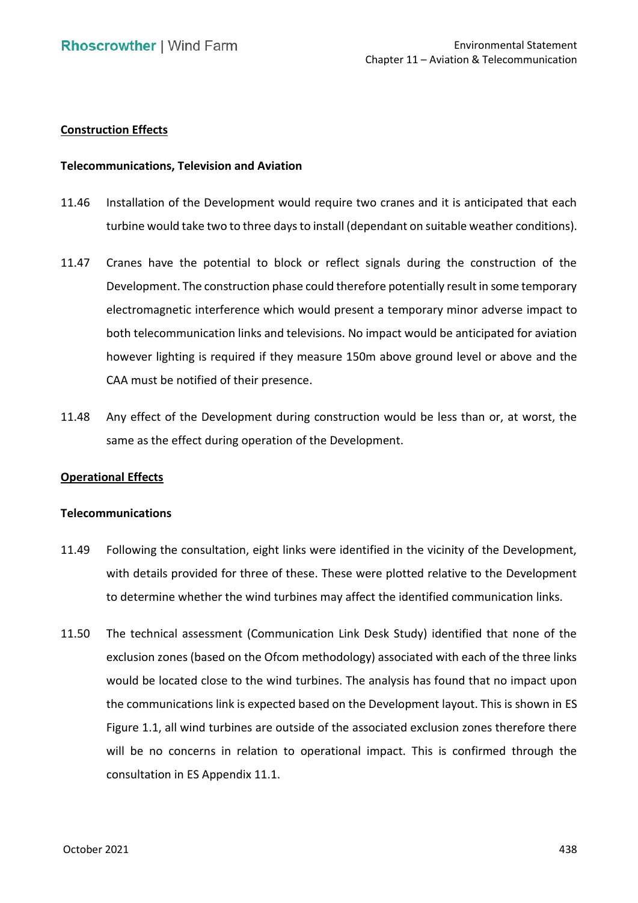### **Construction Effects**

### **Telecommunications, Television and Aviation**

- 11.46 Installation of the Development would require two cranes and it is anticipated that each turbine would take two to three days to install (dependant on suitable weather conditions).
- 11.47 Cranes have the potential to block or reflect signals during the construction of the Development. The construction phase could therefore potentially result in some temporary electromagnetic interference which would present a temporary minor adverse impact to both telecommunication links and televisions. No impact would be anticipated for aviation however lighting is required if they measure 150m above ground level or above and the CAA must be notified of their presence.
- 11.48 Any effect of the Development during construction would be less than or, at worst, the same as the effect during operation of the Development.

### **Operational Effects**

#### **Telecommunications**

- 11.49 Following the consultation, eight links were identified in the vicinity of the Development, with details provided for three of these. These were plotted relative to the Development to determine whether the wind turbines may affect the identified communication links.
- 11.50 The technical assessment (Communication Link Desk Study) identified that none of the exclusion zones (based on the Ofcom methodology) associated with each of the three links would be located close to the wind turbines. The analysis has found that no impact upon the communications link is expected based on the Development layout. This is shown in ES Figure 1.1, all wind turbines are outside of the associated exclusion zones therefore there will be no concerns in relation to operational impact. This is confirmed through the consultation in ES Appendix 11.1.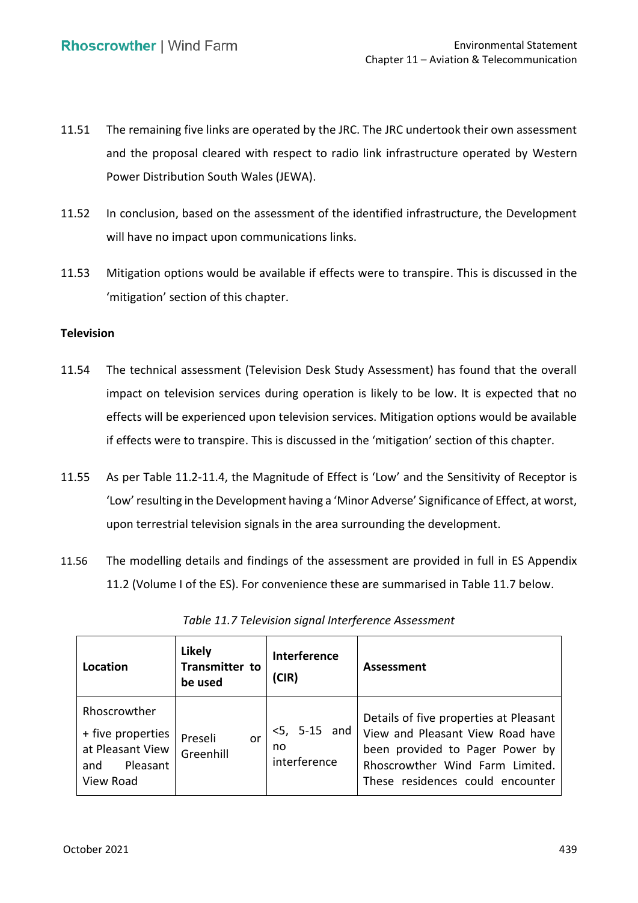- 11.51 The remaining five links are operated by the JRC. The JRC undertook their own assessment and the proposal cleared with respect to radio link infrastructure operated by Western Power Distribution South Wales (JEWA).
- 11.52 In conclusion, based on the assessment of the identified infrastructure, the Development will have no impact upon communications links.
- 11.53 Mitigation options would be available if effects were to transpire. This is discussed in the 'mitigation' section of this chapter.

### **Television**

- 11.54 The technical assessment (Television Desk Study Assessment) has found that the overall impact on television services during operation is likely to be low. It is expected that no effects will be experienced upon television services. Mitigation options would be available if effects were to transpire. This is discussed in the 'mitigation' section of this chapter.
- 11.55 As per Table 11.2-11.4, the Magnitude of Effect is 'Low' and the Sensitivity of Receptor is 'Low'resulting in the Development having a 'Minor Adverse' Significance of Effect, at worst, upon terrestrial television signals in the area surrounding the development.
- 11.56 The modelling details and findings of the assessment are provided in full in ES Appendix 11.2 (Volume I of the ES). For convenience these are summarised in Table 11.7 below.

| Location                                                                              | <b>Likely</b><br>Transmitter to<br>be used | Interference<br>(CIR)                 | <b>Assessment</b>                                                                                                                                                                    |
|---------------------------------------------------------------------------------------|--------------------------------------------|---------------------------------------|--------------------------------------------------------------------------------------------------------------------------------------------------------------------------------------|
| Rhoscrowther<br>+ five properties<br>at Pleasant View<br>Pleasant<br>and<br>View Road | Preseli<br>or<br>Greenhill                 | $<$ 5, 5-15 and<br>no<br>interference | Details of five properties at Pleasant<br>View and Pleasant View Road have<br>been provided to Pager Power by<br>Rhoscrowther Wind Farm Limited.<br>These residences could encounter |

*Table 11.7 Television signal Interference Assessment*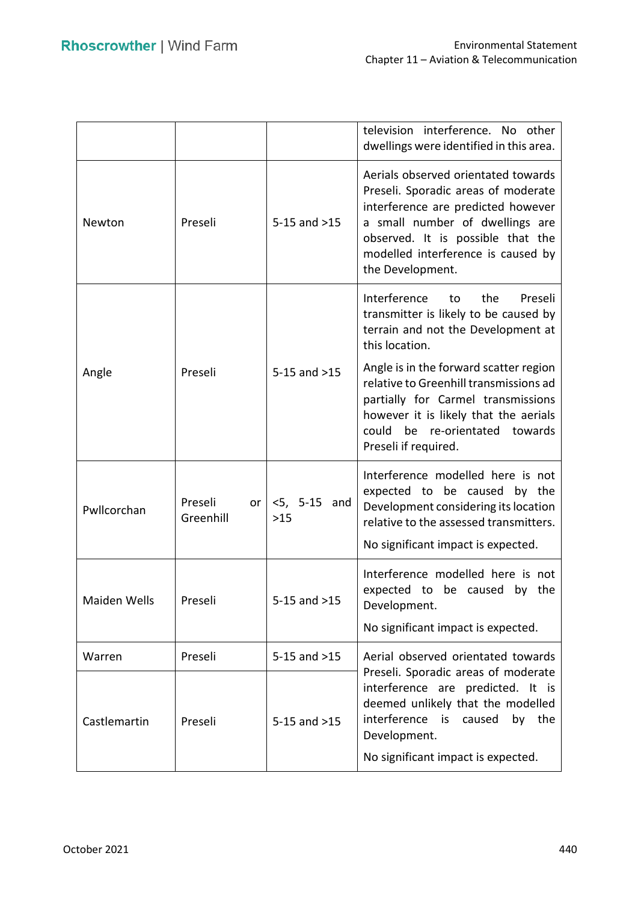|              |                            |                          | television interference. No other<br>dwellings were identified in this area.                                                                                                                                                                       |  |
|--------------|----------------------------|--------------------------|----------------------------------------------------------------------------------------------------------------------------------------------------------------------------------------------------------------------------------------------------|--|
| Newton       | Preseli                    | $5-15$ and $>15$         | Aerials observed orientated towards<br>Preseli. Sporadic areas of moderate<br>interference are predicted however<br>a small number of dwellings are<br>observed. It is possible that the<br>modelled interference is caused by<br>the Development. |  |
|              |                            |                          | Interference<br>the<br>Preseli<br>to<br>transmitter is likely to be caused by<br>terrain and not the Development at<br>this location.                                                                                                              |  |
| Angle        | Preseli                    | $5-15$ and $>15$         | Angle is in the forward scatter region<br>relative to Greenhill transmissions ad<br>partially for Carmel transmissions<br>however it is likely that the aerials<br>could<br>be re-orientated towards<br>Preseli if required.                       |  |
| Pwllcorchan  | Preseli<br>or<br>Greenhill | $<$ 5, 5-15 and<br>$>15$ | Interference modelled here is not<br>expected to be caused by the<br>Development considering its location<br>relative to the assessed transmitters.<br>No significant impact is expected.                                                          |  |
| Maiden Wells | Preseli                    | $5-15$ and $>15$         | Interference modelled here is not<br>expected to be caused by the<br>Development.<br>No significant impact is expected.                                                                                                                            |  |
| Warren       | Preseli                    | $5-15$ and $>15$         | Aerial observed orientated towards                                                                                                                                                                                                                 |  |
| Castlemartin | Preseli                    | $5-15$ and $>15$         | Preseli. Sporadic areas of moderate<br>interference are predicted. It is<br>deemed unlikely that the modelled<br>interference<br>the<br>is is<br>caused<br>by<br>Development.                                                                      |  |
|              |                            |                          | No significant impact is expected.                                                                                                                                                                                                                 |  |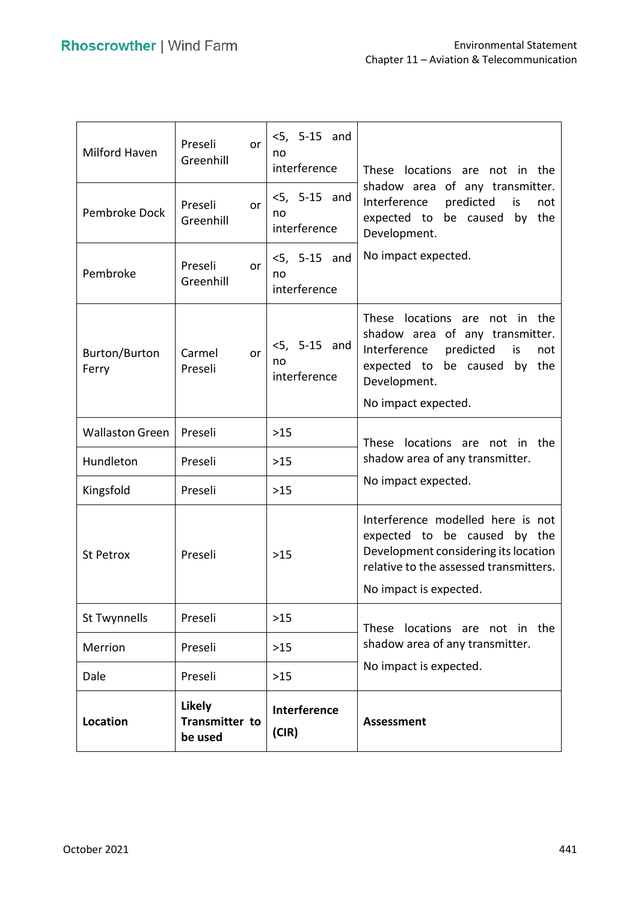| Milford Haven          | Preseli<br>or<br>Greenhill                        | $< 5, 5 - 15$ and<br>no<br>interference | These locations are not in the                                                                                                                                                           |
|------------------------|---------------------------------------------------|-----------------------------------------|------------------------------------------------------------------------------------------------------------------------------------------------------------------------------------------|
| Pembroke Dock          | Preseli<br>or<br>Greenhill                        | $<$ 5, 5-15 and<br>no<br>interference   | shadow area of any transmitter.<br>Interference<br>predicted<br>is<br>not<br>expected to be caused<br>the<br>by<br>Development.                                                          |
| Pembroke               | Preseli<br>or<br>Greenhill                        | $<5, 5-15$ and<br>no<br>interference    | No impact expected.                                                                                                                                                                      |
| Burton/Burton<br>Ferry | Carmel<br>or<br>Preseli                           | $<$ 5, 5-15 and<br>no<br>interference   | These locations are<br>not in the<br>shadow area of any transmitter.<br>Interference<br>predicted<br>is<br>not<br>expected to be caused<br>by the<br>Development.<br>No impact expected. |
| <b>Wallaston Green</b> | Preseli                                           | $>15$                                   |                                                                                                                                                                                          |
| Hundleton              | Preseli                                           | $>15$                                   | These locations are not in the<br>shadow area of any transmitter.                                                                                                                        |
| Kingsfold              | Preseli                                           | $>15$                                   | No impact expected.                                                                                                                                                                      |
| St Petrox              | Preseli                                           | $>15$                                   | Interference modelled here is not<br>expected to be caused by the<br>Development considering its location<br>relative to the assessed transmitters.<br>No impact is expected.            |
| St Twynnells           | Preseli                                           | $>15$                                   |                                                                                                                                                                                          |
| Merrion                | Preseli                                           | $>15$                                   | These locations are not in the<br>shadow area of any transmitter.                                                                                                                        |
| Dale                   | Preseli                                           | $>15$                                   | No impact is expected.                                                                                                                                                                   |
| <b>Location</b>        | <b>Likely</b><br><b>Transmitter to</b><br>be used | Interference<br>(CIR)                   | <b>Assessment</b>                                                                                                                                                                        |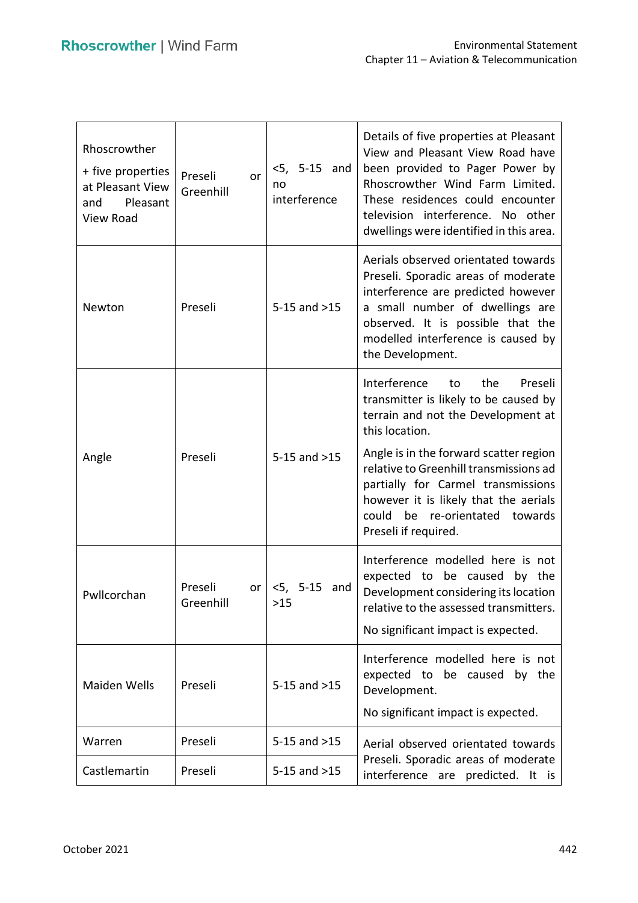| Rhoscrowther<br>+ five properties<br>at Pleasant View<br>Pleasant<br>and<br>View Road | Preseli<br>or<br>Greenhill | $<$ 5, 5-15 and<br>no<br>interference | Details of five properties at Pleasant<br>View and Pleasant View Road have<br>been provided to Pager Power by<br>Rhoscrowther Wind Farm Limited.<br>These residences could encounter<br>television interference. No other<br>dwellings were identified in this area.                                                                                               |
|---------------------------------------------------------------------------------------|----------------------------|---------------------------------------|--------------------------------------------------------------------------------------------------------------------------------------------------------------------------------------------------------------------------------------------------------------------------------------------------------------------------------------------------------------------|
| Newton                                                                                | Preseli                    | $5-15$ and $>15$                      | Aerials observed orientated towards<br>Preseli. Sporadic areas of moderate<br>interference are predicted however<br>a small number of dwellings are<br>observed. It is possible that the<br>modelled interference is caused by<br>the Development.                                                                                                                 |
| Angle                                                                                 | Preseli                    | $5-15$ and $>15$                      | Interference<br>the<br>Preseli<br>to<br>transmitter is likely to be caused by<br>terrain and not the Development at<br>this location.<br>Angle is in the forward scatter region<br>relative to Greenhill transmissions ad<br>partially for Carmel transmissions<br>however it is likely that the aerials<br>could be re-orientated towards<br>Preseli if required. |
| Pwllcorchan                                                                           | Preseli<br>or<br>Greenhill | $<$ 5, 5-15 and<br>>15                | Interference modelled here is not<br>expected to be caused by the<br>Development considering its location<br>relative to the assessed transmitters.<br>No significant impact is expected.                                                                                                                                                                          |
| <b>Maiden Wells</b>                                                                   | Preseli                    | $5-15$ and $>15$                      | Interference modelled here is not<br>expected to be caused by the<br>Development.<br>No significant impact is expected.                                                                                                                                                                                                                                            |
| Warren                                                                                | Preseli                    | $5-15$ and $>15$                      | Aerial observed orientated towards                                                                                                                                                                                                                                                                                                                                 |
| Castlemartin                                                                          | Preseli                    | $5-15$ and $>15$                      | Preseli. Sporadic areas of moderate<br>interference are predicted. It is                                                                                                                                                                                                                                                                                           |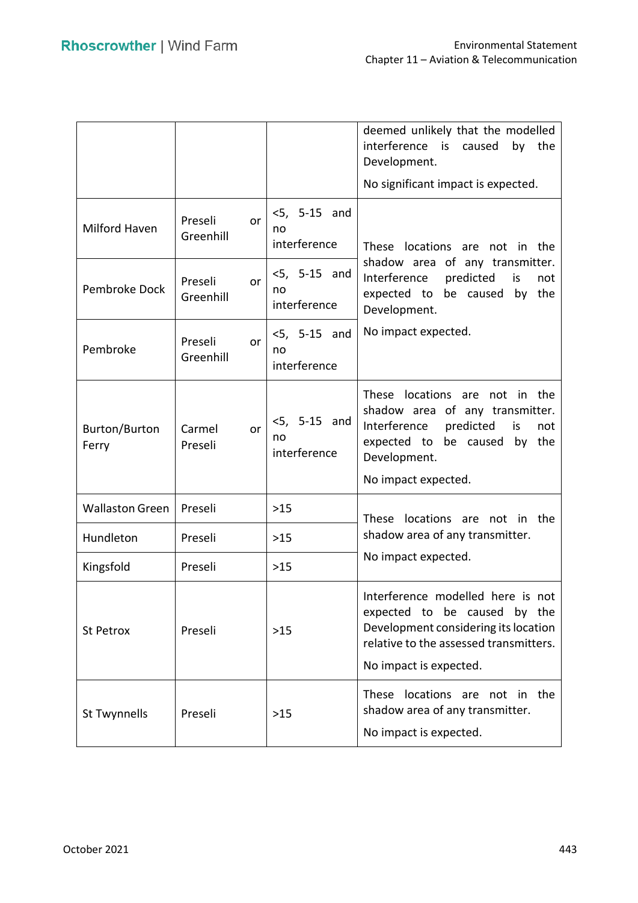|                               |                            |                                       | deemed unlikely that the modelled<br>interference is<br>by<br>the<br>caused<br>Development.                                                                                           |
|-------------------------------|----------------------------|---------------------------------------|---------------------------------------------------------------------------------------------------------------------------------------------------------------------------------------|
|                               |                            |                                       | No significant impact is expected.                                                                                                                                                    |
| Milford Haven                 | Preseli<br>or<br>Greenhill | $<5$ , 5-15 and<br>no<br>interference | These locations are not in the                                                                                                                                                        |
| Pembroke Dock                 | Preseli<br>or<br>Greenhill | $<$ 5, 5-15 and<br>no<br>interference | shadow area of any transmitter.<br>Interference<br>predicted<br>is<br>not<br>by the<br>expected to be caused<br>Development.                                                          |
| Pembroke                      | Preseli<br>or<br>Greenhill | $<$ 5, 5-15 and<br>no<br>interference | No impact expected.                                                                                                                                                                   |
| <b>Burton/Burton</b><br>Ferry | Carmel<br>or<br>Preseli    | $<$ 5, 5-15 and<br>no<br>interference | These locations are not in the<br>shadow area of any transmitter.<br>Interference<br>predicted<br>is<br>not<br>expected to be caused<br>by the<br>Development.<br>No impact expected. |
| <b>Wallaston Green</b>        | Preseli                    | $>15$                                 | locations are not in the<br>These                                                                                                                                                     |
| Hundleton                     | Preseli                    | $>15$                                 | shadow area of any transmitter.                                                                                                                                                       |
| Kingsfold                     | Preseli                    | $>15$                                 | No impact expected.                                                                                                                                                                   |
| St Petrox                     | Preseli                    | $>15$                                 | Interference modelled here is not<br>expected to be caused by the<br>Development considering its location<br>relative to the assessed transmitters.<br>No impact is expected.         |
| St Twynnells                  | Preseli                    | >15                                   | locations are<br><b>These</b><br>the<br>not in<br>shadow area of any transmitter.<br>No impact is expected.                                                                           |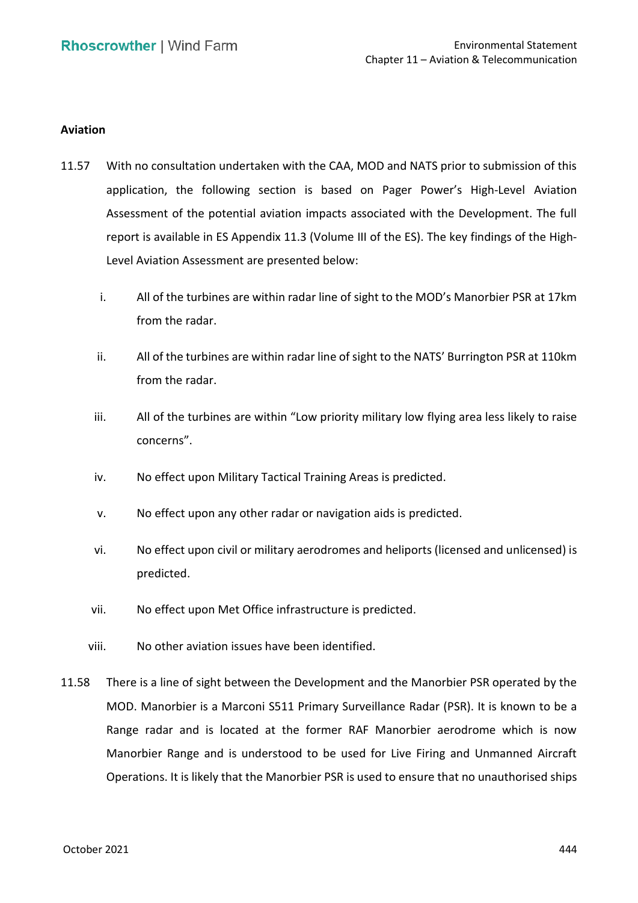### **Aviation**

- 11.57 With no consultation undertaken with the CAA, MOD and NATS prior to submission of this application, the following section is based on Pager Power's High‐Level Aviation Assessment of the potential aviation impacts associated with the Development. The full report is available in ES Appendix 11.3 (Volume III of the ES). The key findings of the High‐ Level Aviation Assessment are presented below:
	- i. All of the turbines are within radar line of sight to the MOD's Manorbier PSR at 17km from the radar.
	- ii. All of the turbines are within radar line of sight to the NATS' Burrington PSR at 110km from the radar.
	- iii. All of the turbines are within "Low priority military low flying area less likely to raise concerns".
	- iv. No effect upon Military Tactical Training Areas is predicted.
	- v. No effect upon any other radar or navigation aids is predicted.
	- vi. No effect upon civil or military aerodromes and heliports (licensed and unlicensed) is predicted.
	- vii. No effect upon Met Office infrastructure is predicted.
	- viii. No other aviation issues have been identified.
- 11.58 There is a line of sight between the Development and the Manorbier PSR operated by the MOD. Manorbier is a Marconi S511 Primary Surveillance Radar (PSR). It is known to be a Range radar and is located at the former RAF Manorbier aerodrome which is now Manorbier Range and is understood to be used for Live Firing and Unmanned Aircraft Operations. It is likely that the Manorbier PSR is used to ensure that no unauthorised ships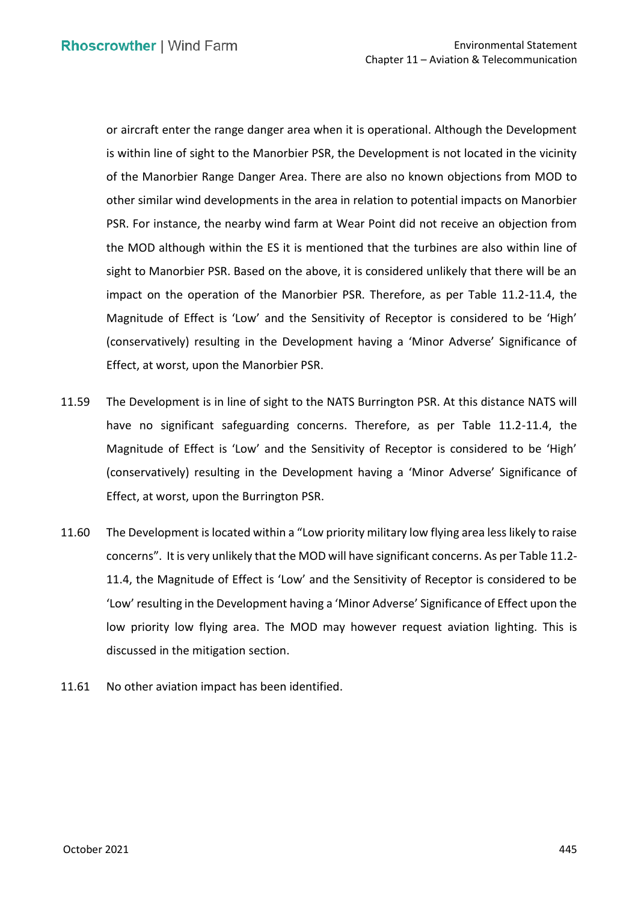or aircraft enter the range danger area when it is operational. Although the Development is within line of sight to the Manorbier PSR, the Development is not located in the vicinity of the Manorbier Range Danger Area. There are also no known objections from MOD to other similar wind developments in the area in relation to potential impacts on Manorbier PSR. For instance, the nearby wind farm at Wear Point did not receive an objection from the MOD although within the ES it is mentioned that the turbines are also within line of sight to Manorbier PSR. Based on the above, it is considered unlikely that there will be an impact on the operation of the Manorbier PSR. Therefore, as per Table 11.2-11.4, the Magnitude of Effect is 'Low' and the Sensitivity of Receptor is considered to be 'High' (conservatively) resulting in the Development having a 'Minor Adverse' Significance of Effect, at worst, upon the Manorbier PSR.

- 11.59 The Development is in line of sight to the NATS Burrington PSR. At this distance NATS will Magnitude of Effect is 'Low' and the Sensitivity of Receptor is considered to be 'High' (conservatively) resulting in the Development having a 'Minor Adverse' Significance of Effect, at worst, upon the Burrington PSR. have no significant safeguarding concerns. Therefore, as per Table 11.2-11.4, the
- 11.60 The Development is located within a "Low priority military low flying area less likely to raise concerns". It is very unlikely that the MOD will have significant concerns. As per Table 11.2- 11.4, the Magnitude of Effect is 'Low' and the Sensitivity of Receptor is considered to be 'Low' resulting in the Development having a 'Minor Adverse' Significance of Effect upon the low priority low flying area. The MOD may however request aviation lighting. This is discussed in the mitigation section.
- 11.61 No other aviation impact has been identified.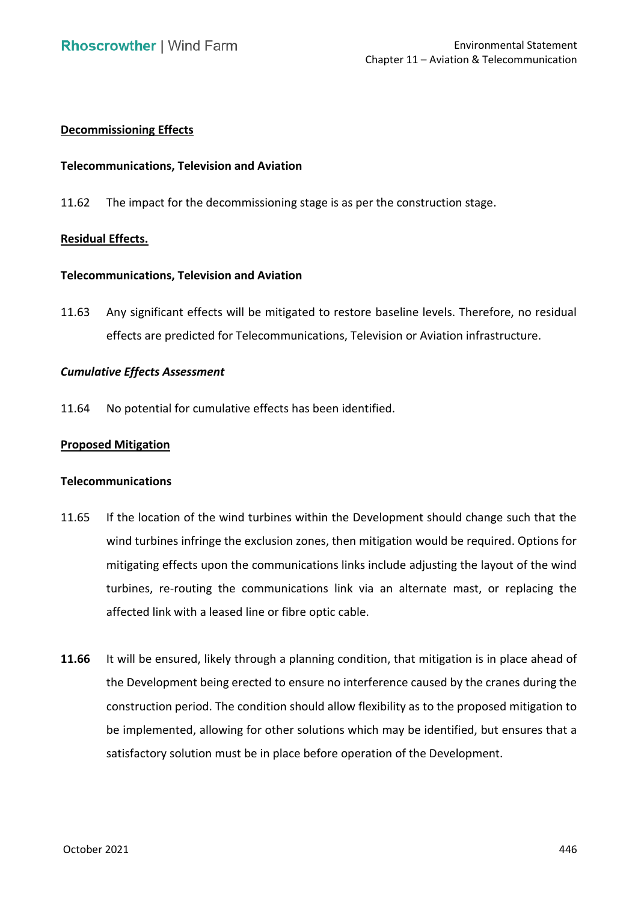# **Decommissioning Effects**

### **Telecommunications, Television and Aviation**

11.62 The impact for the decommissioning stage is as per the construction stage.

# **Residual Effects.**

### **Telecommunications, Television and Aviation**

 11.63 Any significant effects will be mitigated to restore baseline levels. Therefore, no residual effects are predicted for Telecommunications, Television or Aviation infrastructure.

### *Cumulative Effects Assessment*

11.64 No potential for cumulative effects has been identified.

### **Proposed Mitigation**

### **Telecommunications**

- 11.65 If the location of the wind turbines within the Development should change such that the wind turbines infringe the exclusion zones, then mitigation would be required. Options for mitigating effects upon the communications links include adjusting the layout of the wind turbines, re-routing the communications link via an alternate mast, or replacing the affected link with a leased line or fibre optic cable.
- **11.66** It will be ensured, likely through a planning condition, that mitigation is in place ahead of the Development being erected to ensure no interference caused by the cranes during the construction period. The condition should allow flexibility as to the proposed mitigation to be implemented, allowing for other solutions which may be identified, but ensures that a satisfactory solution must be in place before operation of the Development.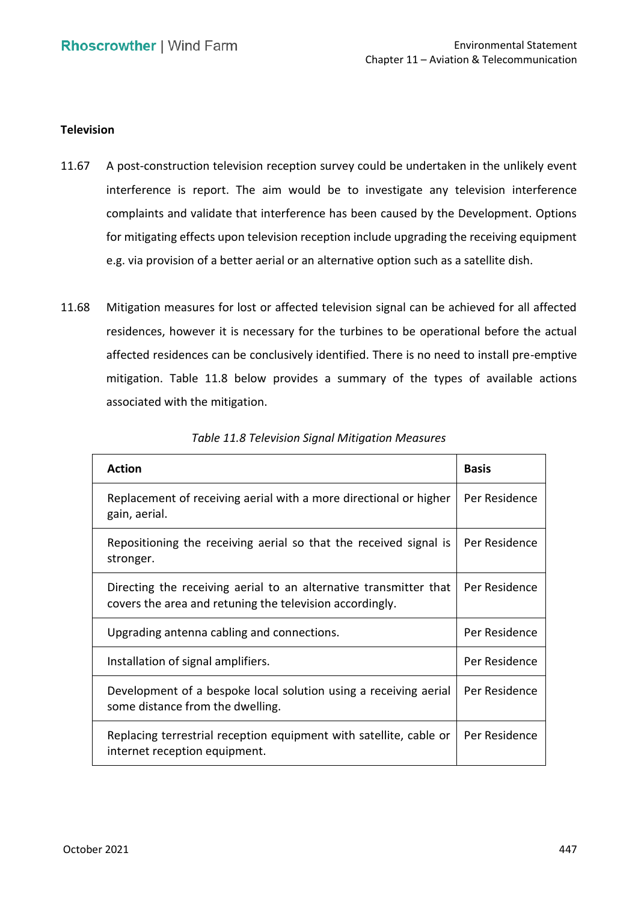### **Television**

- 11.67 A post-construction television reception survey could be undertaken in the unlikely event interference is report. The aim would be to investigate any television interference complaints and validate that interference has been caused by the Development. Options for mitigating effects upon television reception include upgrading the receiving equipment e.g. via provision of a better aerial or an alternative option such as a satellite dish.
- 11.68 Mitigation measures for lost or affected television signal can be achieved for all affected residences, however it is necessary for the turbines to be operational before the actual affected residences can be conclusively identified. There is no need to install pre-emptive mitigation. Table 11.8 below provides a summary of the types of available actions associated with the mitigation.

| <b>Action</b>                                                                                                                 | Basis         |
|-------------------------------------------------------------------------------------------------------------------------------|---------------|
| Replacement of receiving aerial with a more directional or higher<br>gain, aerial.                                            | Per Residence |
| Repositioning the receiving aerial so that the received signal is<br>stronger.                                                | Per Residence |
| Directing the receiving aerial to an alternative transmitter that<br>covers the area and retuning the television accordingly. | Per Residence |
| Upgrading antenna cabling and connections.                                                                                    | Per Residence |
| Installation of signal amplifiers.                                                                                            | Per Residence |
| Development of a bespoke local solution using a receiving aerial<br>some distance from the dwelling.                          | Per Residence |
| Replacing terrestrial reception equipment with satellite, cable or<br>internet reception equipment.                           | Per Residence |

| <b>Table 11.8 Television Signal Mitigation Measures</b> |  |
|---------------------------------------------------------|--|
|---------------------------------------------------------|--|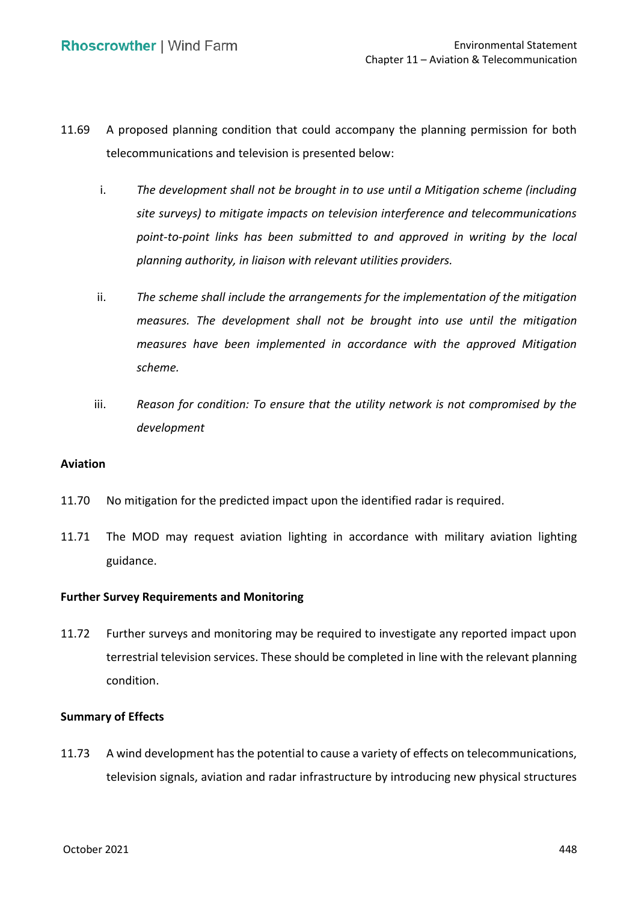- 11.69 A proposed planning condition that could accompany the planning permission for both telecommunications and television is presented below:
	- i. *The development shall not be brought in to use until a Mitigation scheme (including site surveys) to mitigate impacts on television interference and telecommunications point-to-point links has been submitted to and approved in writing by the local planning authority, in liaison with relevant utilities providers.*
	- ii. The scheme shall include the arrangements for the implementation of the mitigation  *measures. The development shall not be brought into use until the mitigation measures have been implemented in accordance with the approved Mitigation scheme.*
	- iii. **Beason for condition: To ensure that the utility network is not compromised by the** *development*

### **Aviation**

- 11.70 No mitigation for the predicted impact upon the identified radar is required.
- 11.71 The MOD may request aviation lighting in accordance with military aviation lighting guidance.

### **Further Survey Requirements and Monitoring**

 11.72 Further surveys and monitoring may be required to investigate any reported impact upon terrestrial television services. These should be completed in line with the relevant planning condition.

### **Summary of Effects**

 11.73 A wind development has the potential to cause a variety of effects on telecommunications, television signals, aviation and radar infrastructure by introducing new physical structures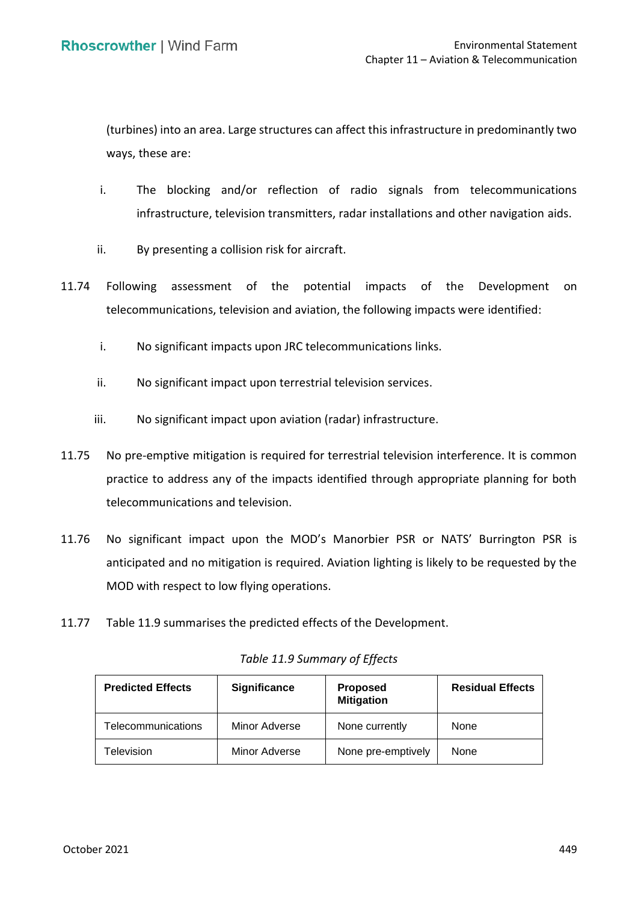(turbines) into an area. Large structures can affect this infrastructure in predominantly two ways, these are:

- i. The blocking and/or reflection of radio signals from telecommunications infrastructure, television transmitters, radar installations and other navigation aids.
- ii. By presenting a collision risk for aircraft.
- 11.74 Following assessment of the potential impacts of the Development on telecommunications, television and aviation, the following impacts were identified:
	- i. No significant impacts upon JRC telecommunications links.
	- ii. No significant impact upon terrestrial television services.
	- iii. No significant impact upon aviation (radar) infrastructure.
- 11.75 No pre-emptive mitigation is required for terrestrial television interference. It is common practice to address any of the impacts identified through appropriate planning for both telecommunications and television.
- 11.76 No significant impact upon the MOD's Manorbier PSR or NATS' Burrington PSR is anticipated and no mitigation is required. Aviation lighting is likely to be requested by the MOD with respect to low flying operations.
- 11.77 Table 11.9 summarises the predicted effects of the Development.

| <b>Predicted Effects</b> | <b>Significance</b> | <b>Proposed</b><br><b>Mitigation</b> | <b>Residual Effects</b> |
|--------------------------|---------------------|--------------------------------------|-------------------------|
| Telecommunications       | Minor Adverse       | None currently                       | None                    |
| Television               | Minor Adverse       | None pre-emptively                   | None                    |

*Table 11.9 Summary of Effects*